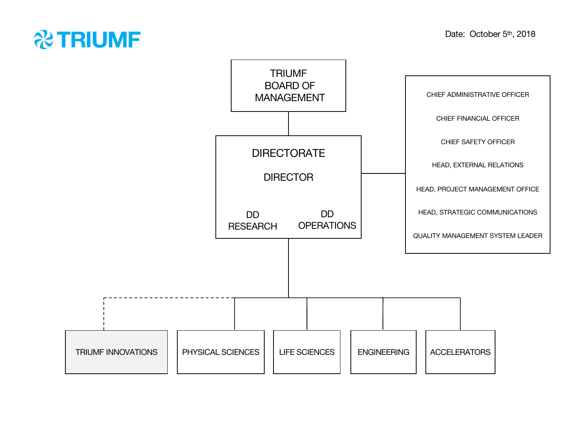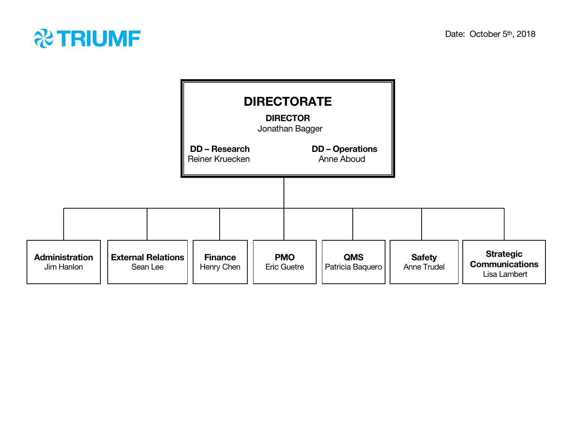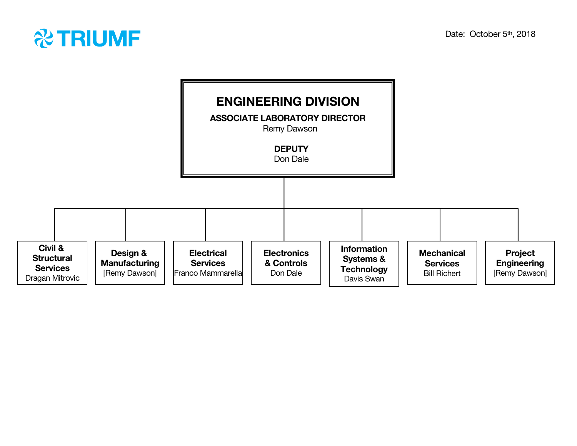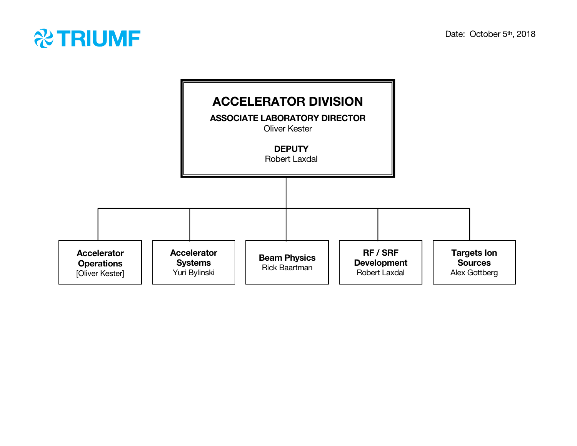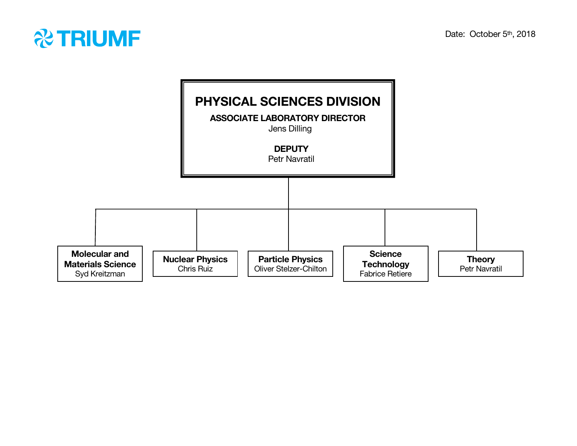